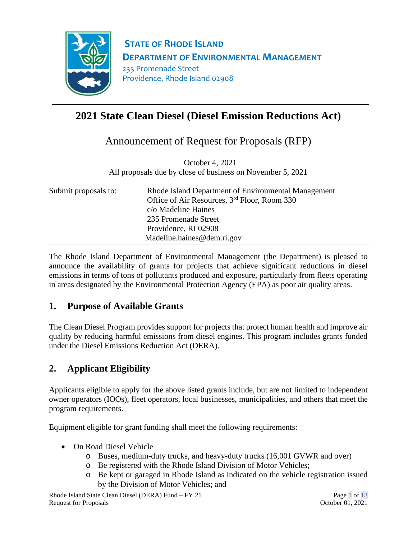

**STATE OF RHODE ISLAND DEPARTMENT OF ENVIRONMENTAL MANAGEMENT** 235 Promenade Street Providence, Rhode Island 02908

# **2021 State Clean Diesel (Diesel Emission Reductions Act)**

Announcement of Request for Proposals (RFP)

 October 4, 2021 All proposals due by close of business on November 5, 2021

| Submit proposals to: | Rhode Island Department of Environmental Management<br>Office of Air Resources, 3 <sup>rd</sup> Floor, Room 330<br>c/o Madeline Haines<br>235 Promenade Street<br>Providence, RI 02908<br>Madeline.haines@dem.ri.gov |
|----------------------|----------------------------------------------------------------------------------------------------------------------------------------------------------------------------------------------------------------------|
|----------------------|----------------------------------------------------------------------------------------------------------------------------------------------------------------------------------------------------------------------|

The Rhode Island Department of Environmental Management (the Department) is pleased to announce the availability of grants for projects that achieve significant reductions in diesel emissions in terms of tons of pollutants produced and exposure, particularly from fleets operating in areas designated by the Environmental Protection Agency (EPA) as poor air quality areas.

## **1. Purpose of Available Grants**

The Clean Diesel Program provides support for projects that protect human health and improve air quality by reducing harmful emissions from diesel engines. This program includes grants funded under the Diesel Emissions Reduction Act (DERA).

## **2. Applicant Eligibility**

Applicants eligible to apply for the above listed grants include, but are not limited to independent owner operators (IOOs), fleet operators, local businesses, municipalities, and others that meet the program requirements.

Equipment eligible for grant funding shall meet the following requirements:

- On Road Diesel Vehicle
	- o Buses, medium-duty trucks, and heavy-duty trucks (16,001 GVWR and over)
	- o Be registered with the Rhode Island Division of Motor Vehicles;
	- o Be kept or garaged in Rhode Island as indicated on the vehicle registration issued by the Division of Motor Vehicles; and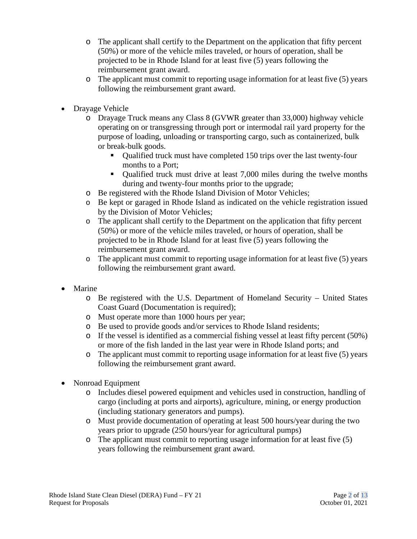- o The applicant shall certify to the Department on the application that fifty percent (50%) or more of the vehicle miles traveled, or hours of operation, shall be projected to be in Rhode Island for at least five (5) years following the reimbursement grant award.
- $\circ$  The applicant must commit to reporting usage information for at least five (5) years following the reimbursement grant award.
- Drayage Vehicle
	- o Drayage Truck means any Class 8 (GVWR greater than 33,000) highway vehicle operating on or transgressing through port or intermodal rail yard property for the purpose of loading, unloading or transporting cargo, such as containerized, bulk or break-bulk goods.
		- Qualified truck must have completed 150 trips over the last twenty-four months to a Port;
		- Qualified truck must drive at least 7,000 miles during the twelve months during and twenty-four months prior to the upgrade;
	- o Be registered with the Rhode Island Division of Motor Vehicles;
	- o Be kept or garaged in Rhode Island as indicated on the vehicle registration issued by the Division of Motor Vehicles;
	- o The applicant shall certify to the Department on the application that fifty percent (50%) or more of the vehicle miles traveled, or hours of operation, shall be projected to be in Rhode Island for at least five (5) years following the reimbursement grant award.
	- o The applicant must commit to reporting usage information for at least five (5) years following the reimbursement grant award.
- **Marine** 
	- o Be registered with the U.S. Department of Homeland Security United States Coast Guard (Documentation is required);
	- o Must operate more than 1000 hours per year;
	- o Be used to provide goods and/or services to Rhode Island residents;
	- $\circ$  If the vessel is identified as a commercial fishing vessel at least fifty percent (50%) or more of the fish landed in the last year were in Rhode Island ports; and
	- o The applicant must commit to reporting usage information for at least five (5) years following the reimbursement grant award.
- Nonroad Equipment
	- o Includes diesel powered equipment and vehicles used in construction, handling of cargo (including at ports and airports), agriculture, mining, or energy production (including stationary generators and pumps).
	- o Must provide documentation of operating at least 500 hours/year during the two years prior to upgrade (250 hours/year for agricultural pumps)
	- o The applicant must commit to reporting usage information for at least five (5) years following the reimbursement grant award.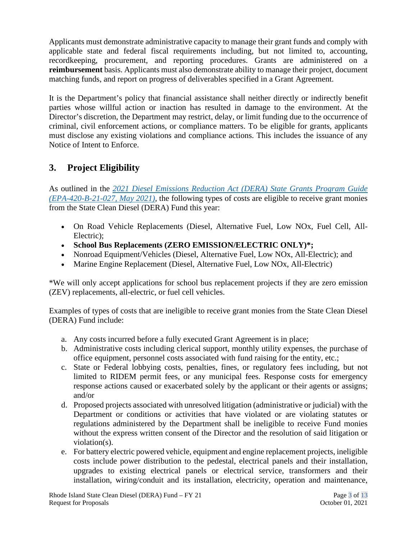Applicants must demonstrate administrative capacity to manage their grant funds and comply with applicable state and federal fiscal requirements including, but not limited to, accounting, recordkeeping, procurement, and reporting procedures. Grants are administered on a **reimbursement** basis. Applicants must also demonstrate ability to manage their project, document matching funds, and report on progress of deliverables specified in a Grant Agreement.

It is the Department's policy that financial assistance shall neither directly or indirectly benefit parties whose willful action or inaction has resulted in damage to the environment. At the Director's discretion, the Department may restrict, delay, or limit funding due to the occurrence of criminal, civil enforcement actions, or compliance matters. To be eligible for grants, applicants must disclose any existing violations and compliance actions. This includes the issuance of any Notice of Intent to Enforce.

## **3. Project Eligibility**

As outlined in the *[2021 Diesel Emissions Reduction Act \(DERA\) State Grants Program Guide](https://www.epa.gov/sites/default/files/2021-05/documents/420b21027.pdf)  [\(EPA-420-B-21-027, May 2021\),](https://www.epa.gov/sites/default/files/2021-05/documents/420b21027.pdf)* the following types of costs are eligible to receive grant monies from the State Clean Diesel (DERA) Fund this year:

- On Road Vehicle Replacements (Diesel, Alternative Fuel, Low NOx, Fuel Cell, All-Electric);
- **School Bus Replacements (ZERO EMISSION/ELECTRIC ONLY)\*;**
- Nonroad Equipment/Vehicles (Diesel, Alternative Fuel, Low NOx, All-Electric); and
- Marine Engine Replacement (Diesel, Alternative Fuel, Low NOx, All-Electric)

\*We will only accept applications for school bus replacement projects if they are zero emission (ZEV) replacements, all-electric, or fuel cell vehicles.

Examples of types of costs that are ineligible to receive grant monies from the State Clean Diesel (DERA) Fund include:

- a. Any costs incurred before a fully executed Grant Agreement is in place;
- b. Administrative costs including clerical support, monthly utility expenses, the purchase of office equipment, personnel costs associated with fund raising for the entity, etc.;
- c. State or Federal lobbying costs, penalties, fines, or regulatory fees including, but not limited to RIDEM permit fees, or any municipal fees. Response costs for emergency response actions caused or exacerbated solely by the applicant or their agents or assigns; and/or
- d. Proposed projects associated with unresolved litigation (administrative or judicial) with the Department or conditions or activities that have violated or are violating statutes or regulations administered by the Department shall be ineligible to receive Fund monies without the express written consent of the Director and the resolution of said litigation or violation(s).
- e. For battery electric powered vehicle, equipment and engine replacement projects, ineligible costs include power distribution to the pedestal, electrical panels and their installation, upgrades to existing electrical panels or electrical service, transformers and their installation, wiring/conduit and its installation, electricity, operation and maintenance,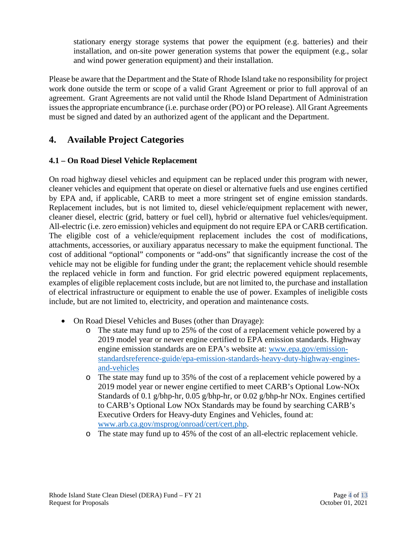stationary energy storage systems that power the equipment (e.g. batteries) and their installation, and on-site power generation systems that power the equipment (e.g., solar and wind power generation equipment) and their installation.

Please be aware that the Department and the State of Rhode Island take no responsibility for project work done outside the term or scope of a valid Grant Agreement or prior to full approval of an agreement. Grant Agreements are not valid until the Rhode Island Department of Administration issues the appropriate encumbrance (i.e. purchase order (PO) or PO release). All Grant Agreements must be signed and dated by an authorized agent of the applicant and the Department.

### **4. Available Project Categories**

#### **4.1 – On Road Diesel Vehicle Replacement**

On road highway diesel vehicles and equipment can be replaced under this program with newer, cleaner vehicles and equipment that operate on diesel or alternative fuels and use engines certified by EPA and, if applicable, CARB to meet a more stringent set of engine emission standards. Replacement includes, but is not limited to, diesel vehicle/equipment replacement with newer, cleaner diesel, electric (grid, battery or fuel cell), hybrid or alternative fuel vehicles/equipment. All-electric (i.e. zero emission) vehicles and equipment do not require EPA or CARB certification. The eligible cost of a vehicle/equipment replacement includes the cost of modifications, attachments, accessories, or auxiliary apparatus necessary to make the equipment functional. The cost of additional "optional" components or "add-ons" that significantly increase the cost of the vehicle may not be eligible for funding under the grant; the replacement vehicle should resemble the replaced vehicle in form and function. For grid electric powered equipment replacements, examples of eligible replacement costs include, but are not limited to, the purchase and installation of electrical infrastructure or equipment to enable the use of power. Examples of ineligible costs include, but are not limited to, electricity, and operation and maintenance costs.

- On Road Diesel Vehicles and Buses (other than Drayage):
	- o The state may fund up to 25% of the cost of a replacement vehicle powered by a 2019 model year or newer engine certified to EPA emission standards. Highway engine emission standards are on EPA's website at: [www.epa.gov/emission](http://www.epa.gov/emission-standardsreference-guide/epa-emission-standards-heavy-duty-highway-engines-and-vehicles)[standardsreference-guide/epa-emission-standards-heavy-duty-highway-engines](http://www.epa.gov/emission-standardsreference-guide/epa-emission-standards-heavy-duty-highway-engines-and-vehicles)[and-vehicles](http://www.epa.gov/emission-standardsreference-guide/epa-emission-standards-heavy-duty-highway-engines-and-vehicles)
	- o The state may fund up to 35% of the cost of a replacement vehicle powered by a 2019 model year or newer engine certified to meet CARB's Optional Low-NOx Standards of 0.1 g/bhp-hr, 0.05 g/bhp-hr, or 0.02 g/bhp-hr NOx. Engines certified to CARB's Optional Low NOx Standards may be found by searching CARB's Executive Orders for Heavy-duty Engines and Vehicles, found at: [www.arb.ca.gov/msprog/onroad/cert/cert.php.](http://www.arb.ca.gov/msprog/onroad/cert/cert.php)
	- o The state may fund up to 45% of the cost of an all-electric replacement vehicle.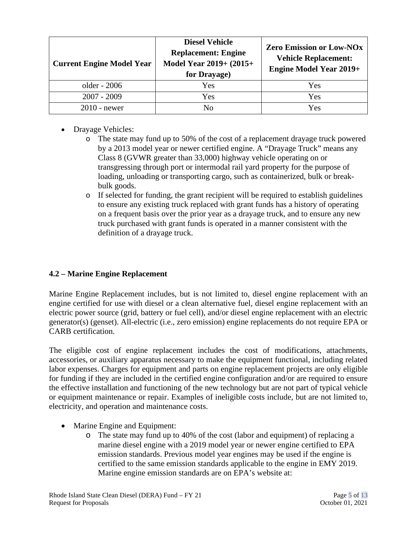| <b>Current Engine Model Year</b> | <b>Diesel Vehicle</b><br><b>Replacement: Engine</b><br>Model Year 2019+ (2015+<br>for Drayage) | Zero Emission or Low-NOx<br><b>Vehicle Replacement:</b><br><b>Engine Model Year 2019+</b> |
|----------------------------------|------------------------------------------------------------------------------------------------|-------------------------------------------------------------------------------------------|
| older - 2006                     | Yes                                                                                            | Yes                                                                                       |
| $2007 - 2009$                    | Yes                                                                                            | Yes                                                                                       |
| $2010$ - newer                   | Nο                                                                                             | Yes                                                                                       |

- Drayage Vehicles:
	- o The state may fund up to 50% of the cost of a replacement drayage truck powered by a 2013 model year or newer certified engine. A "Drayage Truck" means any Class 8 (GVWR greater than 33,000) highway vehicle operating on or transgressing through port or intermodal rail yard property for the purpose of loading, unloading or transporting cargo, such as containerized, bulk or breakbulk goods.
	- o If selected for funding, the grant recipient will be required to establish guidelines to ensure any existing truck replaced with grant funds has a history of operating on a frequent basis over the prior year as a drayage truck, and to ensure any new truck purchased with grant funds is operated in a manner consistent with the definition of a drayage truck.

#### **4.2 – Marine Engine Replacement**

Marine Engine Replacement includes, but is not limited to, diesel engine replacement with an engine certified for use with diesel or a clean alternative fuel, diesel engine replacement with an electric power source (grid, battery or fuel cell), and/or diesel engine replacement with an electric generator(s) (genset). All-electric (i.e., zero emission) engine replacements do not require EPA or CARB certification.

The eligible cost of engine replacement includes the cost of modifications, attachments, accessories, or auxiliary apparatus necessary to make the equipment functional, including related labor expenses. Charges for equipment and parts on engine replacement projects are only eligible for funding if they are included in the certified engine configuration and/or are required to ensure the effective installation and functioning of the new technology but are not part of typical vehicle or equipment maintenance or repair. Examples of ineligible costs include, but are not limited to, electricity, and operation and maintenance costs.

- Marine Engine and Equipment:
	- o The state may fund up to 40% of the cost (labor and equipment) of replacing a marine diesel engine with a 2019 model year or newer engine certified to EPA emission standards. Previous model year engines may be used if the engine is certified to the same emission standards applicable to the engine in EMY 2019. Marine engine emission standards are on EPA's website at: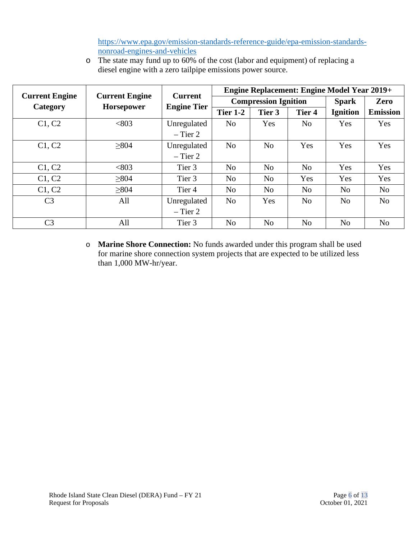[https://www.epa.gov/emission-standards-reference-guide/epa-emission-standards](https://www.epa.gov/emission-standards-reference-guide/epa-emission-standards-nonroad-engines-and-vehicles)[nonroad-engines-and-vehicles](https://www.epa.gov/emission-standards-reference-guide/epa-emission-standards-nonroad-engines-and-vehicles)

o The state may fund up to 60% of the cost (labor and equipment) of replacing a diesel engine with a zero tailpipe emissions power source.

| <b>Current Engine</b>         | <b>Current Engine</b> | <b>Current</b>     |                             |                |                   | <b>Engine Replacement: Engine Model Year 2019+</b> |                 |
|-------------------------------|-----------------------|--------------------|-----------------------------|----------------|-------------------|----------------------------------------------------|-----------------|
| Category<br><b>Horsepower</b> |                       | <b>Engine Tier</b> | <b>Compression Ignition</b> |                |                   | <b>Spark</b>                                       | Zero            |
|                               |                       |                    | <b>Tier 1-2</b>             | Tier 3         | Tier <sub>4</sub> | <b>Ignition</b>                                    | <b>Emission</b> |
| C1, C2                        | <803                  | Unregulated        | N <sub>o</sub>              | Yes            | No                | Yes                                                | <b>Yes</b>      |
|                               |                       | $-$ Tier 2         |                             |                |                   |                                                    |                 |
| C1, C2                        | >804                  | Unregulated        | N <sub>o</sub>              | No             | Yes               | Yes                                                | Yes             |
|                               |                       | $-$ Tier 2         |                             |                |                   |                                                    |                 |
| C1, C2                        | <803                  | Tier 3             | No                          | N <sub>o</sub> | N <sub>o</sub>    | Yes                                                | Yes             |
| C1, C2                        | >804                  | Tier 3             | No                          | N <sub>o</sub> | Yes               | Yes                                                | Yes             |
| C1, C2                        | >804                  | Tier 4             | No                          | N <sub>o</sub> | N <sub>o</sub>    | N <sub>0</sub>                                     | N <sub>o</sub>  |
| C <sub>3</sub>                | All                   | Unregulated        | N <sub>o</sub>              | Yes            | N <sub>o</sub>    | No                                                 | No              |
|                               |                       | $-$ Tier 2         |                             |                |                   |                                                    |                 |
| C <sub>3</sub>                | All                   | Tier 3             | No                          | N <sub>o</sub> | N <sub>o</sub>    | N <sub>o</sub>                                     | N <sub>o</sub>  |

o **Marine Shore Connection:** No funds awarded under this program shall be used for marine shore connection system projects that are expected to be utilized less than 1,000 MW-hr/year.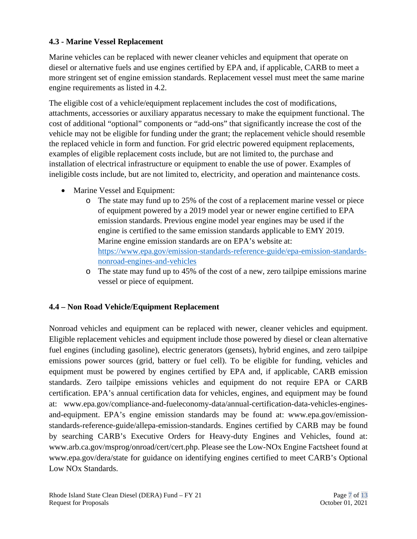#### **4.3 - Marine Vessel Replacement**

Marine vehicles can be replaced with newer cleaner vehicles and equipment that operate on diesel or alternative fuels and use engines certified by EPA and, if applicable, CARB to meet a more stringent set of engine emission standards. Replacement vessel must meet the same marine engine requirements as listed in 4.2.

The eligible cost of a vehicle/equipment replacement includes the cost of modifications, attachments, accessories or auxiliary apparatus necessary to make the equipment functional. The cost of additional "optional" components or "add-ons" that significantly increase the cost of the vehicle may not be eligible for funding under the grant; the replacement vehicle should resemble the replaced vehicle in form and function. For grid electric powered equipment replacements, examples of eligible replacement costs include, but are not limited to, the purchase and installation of electrical infrastructure or equipment to enable the use of power. Examples of ineligible costs include, but are not limited to, electricity, and operation and maintenance costs.

- Marine Vessel and Equipment:
	- o The state may fund up to 25% of the cost of a replacement marine vessel or piece of equipment powered by a 2019 model year or newer engine certified to EPA emission standards. Previous engine model year engines may be used if the engine is certified to the same emission standards applicable to EMY 2019. Marine engine emission standards are on EPA's website at: [https://www.epa.gov/emission-standards-reference-guide/epa-emission-standards](https://www.epa.gov/emission-standards-reference-guide/epa-emission-standards-nonroad-engines-and-vehicles)[nonroad-engines-and-vehicles](https://www.epa.gov/emission-standards-reference-guide/epa-emission-standards-nonroad-engines-and-vehicles)
	- o The state may fund up to 45% of the cost of a new, zero tailpipe emissions marine vessel or piece of equipment.

#### **4.4 – Non Road Vehicle/Equipment Replacement**

Nonroad vehicles and equipment can be replaced with newer, cleaner vehicles and equipment. Eligible replacement vehicles and equipment include those powered by diesel or clean alternative fuel engines (including gasoline), electric generators (gensets), hybrid engines, and zero tailpipe emissions power sources (grid, battery or fuel cell). To be eligible for funding, vehicles and equipment must be powered by engines certified by EPA and, if applicable, CARB emission standards. Zero tailpipe emissions vehicles and equipment do not require EPA or CARB certification. EPA's annual certification data for vehicles, engines, and equipment may be found at: www.epa.gov/compliance-and-fueleconomy-data/annual-certification-data-vehicles-enginesand-equipment. EPA's engine emission standards may be found at: www.epa.gov/emissionstandards-reference-guide/allepa-emission-standards. Engines certified by CARB may be found by searching CARB's Executive Orders for Heavy-duty Engines and Vehicles, found at: www.arb.ca.gov/msprog/onroad/cert/cert.php. Please see the Low-NOx Engine Factsheet found at www.epa.gov/dera/state for guidance on identifying engines certified to meet CARB's Optional Low NOx Standards.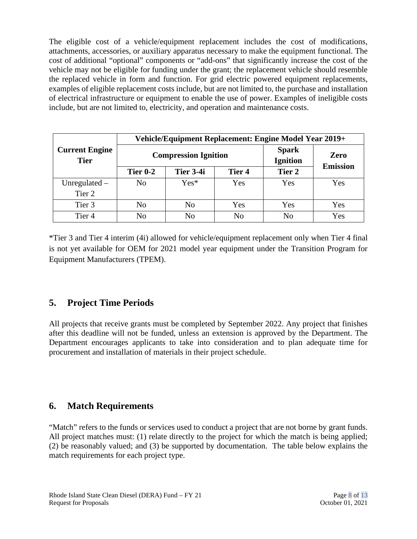The eligible cost of a vehicle/equipment replacement includes the cost of modifications, attachments, accessories, or auxiliary apparatus necessary to make the equipment functional. The cost of additional "optional" components or "add-ons" that significantly increase the cost of the vehicle may not be eligible for funding under the grant; the replacement vehicle should resemble the replaced vehicle in form and function. For grid electric powered equipment replacements, examples of eligible replacement costs include, but are not limited to, the purchase and installation of electrical infrastructure or equipment to enable the use of power. Examples of ineligible costs include, but are not limited to, electricity, and operation and maintenance costs.

|                                      | Vehicle/Equipment Replacement: Engine Model Year 2019+ |                |                |                                 |                         |
|--------------------------------------|--------------------------------------------------------|----------------|----------------|---------------------------------|-------------------------|
| <b>Current Engine</b><br><b>Tier</b> | <b>Compression Ignition</b>                            |                |                | <b>Spark</b><br><b>Ignition</b> | Zero<br><b>Emission</b> |
|                                      | <b>Tier 0-2</b>                                        | Tier 3-4i      | Tier 4         | Tier 2                          |                         |
| Unregulated $-$                      | No                                                     | $Yes*$         | Yes            | Yes                             | Yes                     |
| Tier 2                               |                                                        |                |                |                                 |                         |
| Tier 3                               | No                                                     | No             | Yes            | Yes                             | Yes                     |
| Tier <sub>4</sub>                    | No                                                     | N <sub>0</sub> | N <sub>o</sub> | N <sub>o</sub>                  | Yes                     |

\*Tier 3 and Tier 4 interim (4i) allowed for vehicle/equipment replacement only when Tier 4 final is not yet available for OEM for 2021 model year equipment under the Transition Program for Equipment Manufacturers (TPEM).

## **5. Project Time Periods**

All projects that receive grants must be completed by September 2022. Any project that finishes after this deadline will not be funded, unless an extension is approved by the Department. The Department encourages applicants to take into consideration and to plan adequate time for procurement and installation of materials in their project schedule.

### **6. Match Requirements**

"Match" refers to the funds or services used to conduct a project that are not borne by grant funds. All project matches must: (1) relate directly to the project for which the match is being applied; (2) be reasonably valued; and (3) be supported by documentation. The table below explains the match requirements for each project type.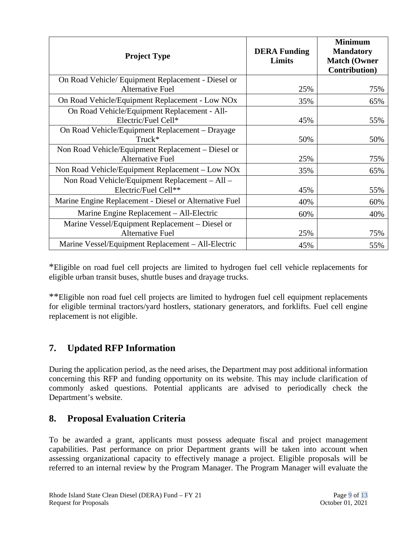| <b>Project Type</b>                                                           | <b>DERA Funding</b><br>Limits | <b>Minimum</b><br><b>Mandatory</b><br><b>Match (Owner</b><br><b>Contribution</b> ) |
|-------------------------------------------------------------------------------|-------------------------------|------------------------------------------------------------------------------------|
| On Road Vehicle/ Equipment Replacement - Diesel or<br><b>Alternative Fuel</b> | 25%                           | 75%                                                                                |
| On Road Vehicle/Equipment Replacement - Low NOx                               | 35%                           | 65%                                                                                |
| On Road Vehicle/Equipment Replacement - All-<br>Electric/Fuel Cell*           | 45%                           | 55%                                                                                |
| On Road Vehicle/Equipment Replacement – Drayage<br>$Truck*$                   | 50%                           | 50%                                                                                |
| Non Road Vehicle/Equipment Replacement – Diesel or<br><b>Alternative Fuel</b> | 25%                           | 75%                                                                                |
| Non Road Vehicle/Equipment Replacement – Low NOx                              | 35%                           | 65%                                                                                |
| Non Road Vehicle/Equipment Replacement – All –<br>Electric/Fuel Cell**        | 45%                           | 55%                                                                                |
| Marine Engine Replacement - Diesel or Alternative Fuel                        | 40%                           | 60%                                                                                |
| Marine Engine Replacement - All-Electric                                      | 60%                           | 40%                                                                                |
| Marine Vessel/Equipment Replacement – Diesel or<br><b>Alternative Fuel</b>    | 25%                           | 75%                                                                                |
| Marine Vessel/Equipment Replacement – All-Electric                            | 45%                           | 55%                                                                                |

\*Eligible on road fuel cell projects are limited to hydrogen fuel cell vehicle replacements for eligible urban transit buses, shuttle buses and drayage trucks.

\*\*Eligible non road fuel cell projects are limited to hydrogen fuel cell equipment replacements for eligible terminal tractors/yard hostlers, stationary generators, and forklifts. Fuel cell engine replacement is not eligible.

## **7. Updated RFP Information**

During the application period, as the need arises, the Department may post additional information concerning this RFP and funding opportunity on its website. This may include clarification of commonly asked questions. Potential applicants are advised to periodically check the Department's website.

## **8. Proposal Evaluation Criteria**

To be awarded a grant, applicants must possess adequate fiscal and project management capabilities. Past performance on prior Department grants will be taken into account when assessing organizational capacity to effectively manage a project. Eligible proposals will be referred to an internal review by the Program Manager. The Program Manager will evaluate the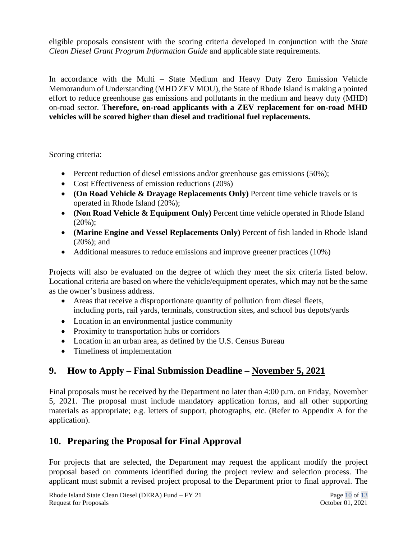eligible proposals consistent with the scoring criteria developed in conjunction with the *State Clean Diesel Grant Program Information Guide* and applicable state requirements.

In accordance with the Multi – State Medium and Heavy Duty Zero Emission Vehicle Memorandum of Understanding (MHD ZEV MOU), the State of Rhode Island is making a pointed effort to reduce greenhouse gas emissions and pollutants in the medium and heavy duty (MHD) on-road sector. **Therefore, on-road applicants with a ZEV replacement for on-road MHD vehicles will be scored higher than diesel and traditional fuel replacements.**

Scoring criteria:

- Percent reduction of diesel emissions and/or greenhouse gas emissions (50%);
- Cost Effectiveness of emission reductions (20%)
- **(On Road Vehicle & Drayage Replacements Only)** Percent time vehicle travels or is operated in Rhode Island (20%);
- **(Non Road Vehicle & Equipment Only)** Percent time vehicle operated in Rhode Island  $(20\%)$ :
- **(Marine Engine and Vessel Replacements Only)** Percent of fish landed in Rhode Island (20%); and
- Additional measures to reduce emissions and improve greener practices (10%)

Projects will also be evaluated on the degree of which they meet the six criteria listed below. Locational criteria are based on where the vehicle/equipment operates, which may not be the same as the owner's business address.

- Areas that receive a disproportionate quantity of pollution from diesel fleets, including ports, rail yards, terminals, construction sites, and school bus depots/yards
- Location in an environmental justice community
- Proximity to transportation hubs or corridors
- Location in an urban area, as defined by the U.S. Census Bureau
- Timeliness of implementation

# **9. How to Apply – Final Submission Deadline – November 5, 2021**

Final proposals must be received by the Department no later than 4:00 p.m. on Friday, November 5, 2021. The proposal must include mandatory application forms, and all other supporting materials as appropriate; e.g. letters of support, photographs, etc. (Refer to Appendix A for the application).

## **10. Preparing the Proposal for Final Approval**

For projects that are selected, the Department may request the applicant modify the project proposal based on comments identified during the project review and selection process. The applicant must submit a revised project proposal to the Department prior to final approval. The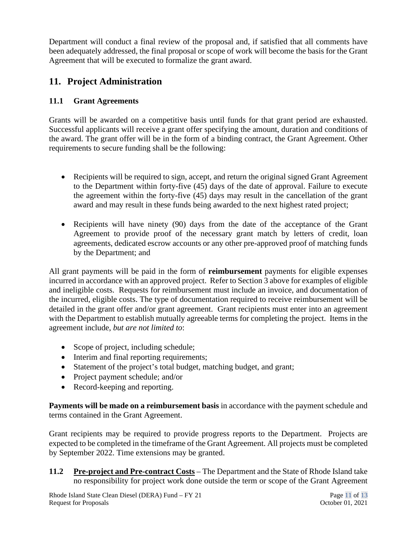Department will conduct a final review of the proposal and, if satisfied that all comments have been adequately addressed, the final proposal or scope of work will become the basis for the Grant Agreement that will be executed to formalize the grant award.

## **11. Project Administration**

#### **11.1 Grant Agreements**

Grants will be awarded on a competitive basis until funds for that grant period are exhausted. Successful applicants will receive a grant offer specifying the amount, duration and conditions of the award. The grant offer will be in the form of a binding contract, the Grant Agreement. Other requirements to secure funding shall be the following:

- Recipients will be required to sign, accept, and return the original signed Grant Agreement to the Department within forty-five (45) days of the date of approval. Failure to execute the agreement within the forty-five (45) days may result in the cancellation of the grant award and may result in these funds being awarded to the next highest rated project;
- Recipients will have ninety (90) days from the date of the acceptance of the Grant Agreement to provide proof of the necessary grant match by letters of credit, loan agreements, dedicated escrow accounts or any other pre-approved proof of matching funds by the Department; and

All grant payments will be paid in the form of **reimbursement** payments for eligible expenses incurred in accordance with an approved project. Refer to Section 3 above for examples of eligible and ineligible costs. Requests for reimbursement must include an invoice, and documentation of the incurred, eligible costs. The type of documentation required to receive reimbursement will be detailed in the grant offer and/or grant agreement. Grant recipients must enter into an agreement with the Department to establish mutually agreeable terms for completing the project. Items in the agreement include, *but are not limited to*:

- Scope of project, including schedule;
- Interim and final reporting requirements;
- Statement of the project's total budget, matching budget, and grant;
- Project payment schedule; and/or
- Record-keeping and reporting.

**Payments will be made on a reimbursement basis** in accordance with the payment schedule and terms contained in the Grant Agreement.

Grant recipients may be required to provide progress reports to the Department. Projects are expected to be completed in the timeframe of the Grant Agreement. All projects must be completed by September 2022. Time extensions may be granted.

**11.2 Pre-project and Pre-contract Costs** – The Department and the State of Rhode Island take no responsibility for project work done outside the term or scope of the Grant Agreement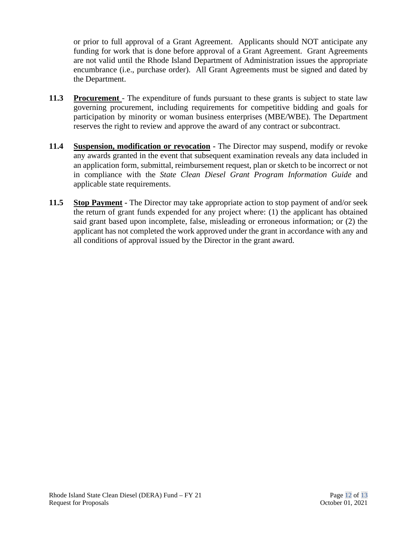or prior to full approval of a Grant Agreement. Applicants should NOT anticipate any funding for work that is done before approval of a Grant Agreement. Grant Agreements are not valid until the Rhode Island Department of Administration issues the appropriate encumbrance (i.e., purchase order). All Grant Agreements must be signed and dated by the Department.

- **11.3 Procurement**  The expenditure of funds pursuant to these grants is subject to state law governing procurement, including requirements for competitive bidding and goals for participation by minority or woman business enterprises (MBE/WBE). The Department reserves the right to review and approve the award of any contract or subcontract.
- **11.4 Suspension, modification or revocation -** The Director may suspend, modify or revoke any awards granted in the event that subsequent examination reveals any data included in an application form, submittal, reimbursement request, plan or sketch to be incorrect or not in compliance with the *State Clean Diesel Grant Program Information Guide* and applicable state requirements.
- **11.5 Stop Payment -** The Director may take appropriate action to stop payment of and/or seek the return of grant funds expended for any project where: (1) the applicant has obtained said grant based upon incomplete, false, misleading or erroneous information; or (2) the applicant has not completed the work approved under the grant in accordance with any and all conditions of approval issued by the Director in the grant award.